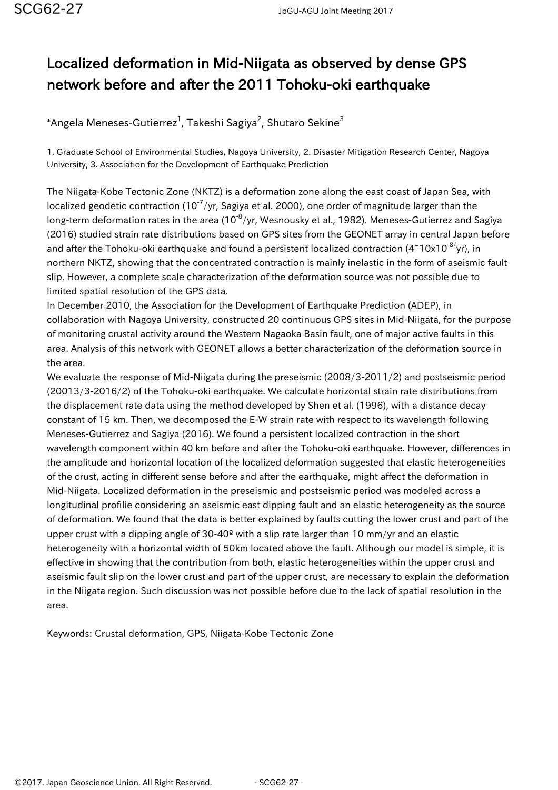## Localized deformation in Mid-Niigata as observed by dense GPS network before and after the 2011 Tohoku-oki earthquake

 $^*$ Angela Meneses-Gutierrez $^1$ , Takeshi Sagiya $^2$ , Shutaro Sekine $^3$ 

1. Graduate School of Environmental Studies, Nagoya University, 2. Disaster Mitigation Research Center, Nagoya University, 3. Association for the Development of Earthquake Prediction

The Niigata-Kobe Tectonic Zone (NKTZ) is a deformation zone along the east coast of Japan Sea, with localized geodetic contraction (10<sup>-7</sup>/yr, Sagiya et al. 2000), one order of magnitude larger than the long-term deformation rates in the area (10 $\textdegree$ /yr, Wesnousky et al., 1982). Meneses-Gutierrez and Sagiya (2016) studied strain rate distributions based on GPS sites from the GEONET array in central Japan before and after the Tohoku-oki earthquake and found a persistent localized contraction  $(4<sup>1</sup>10x10<sup>-8</sup>/yr)$ , in northern NKTZ, showing that the concentrated contraction is mainly inelastic in the form of aseismic fault slip. However, a complete scale characterization of the deformation source was not possible due to limited spatial resolution of the GPS data.

In December 2010, the Association for the Development of Earthquake Prediction (ADEP), in collaboration with Nagoya University, constructed 20 continuous GPS sites in Mid-Niigata, for the purpose of monitoring crustal activity around the Western Nagaoka Basin fault, one of major active faults in this area. Analysis of this network with GEONET allows a better characterization of the deformation source in the area.

We evaluate the response of Mid-Niigata during the preseismic (2008/3-2011/2) and postseismic period (20013/3-2016/2) of the Tohoku-oki earthquake. We calculate horizontal strain rate distributions from the displacement rate data using the method developed by Shen et al. (1996), with a distance decay constant of 15 km. Then, we decomposed the E-W strain rate with respect to its wavelength following Meneses-Gutierrez and Sagiya (2016). We found a persistent localized contraction in the short wavelength component within 40 km before and after the Tohoku-oki earthquake. However, differences in the amplitude and horizontal location of the localized deformation suggested that elastic heterogeneities of the crust, acting in different sense before and after the earthquake, might affect the deformation in Mid-Niigata. Localized deformation in the preseismic and postseismic period was modeled across a longitudinal profilie considering an aseismic east dipping fault and an elastic heterogeneity as the source of deformation. We found that the data is better explained by faults cutting the lower crust and part of the upper crust with a dipping angle of 30-40<sup>o</sup> with a slip rate larger than 10 mm/yr and an elastic heterogeneity with a horizontal width of 50km located above the fault. Although our model is simple, it is effective in showing that the contribution from both, elastic heterogeneities within the upper crust and aseismic fault slip on the lower crust and part of the upper crust, are necessary to explain the deformation in the Niigata region. Such discussion was not possible before due to the lack of spatial resolution in the area.

Keywords: Crustal deformation, GPS, Niigata-Kobe Tectonic Zone